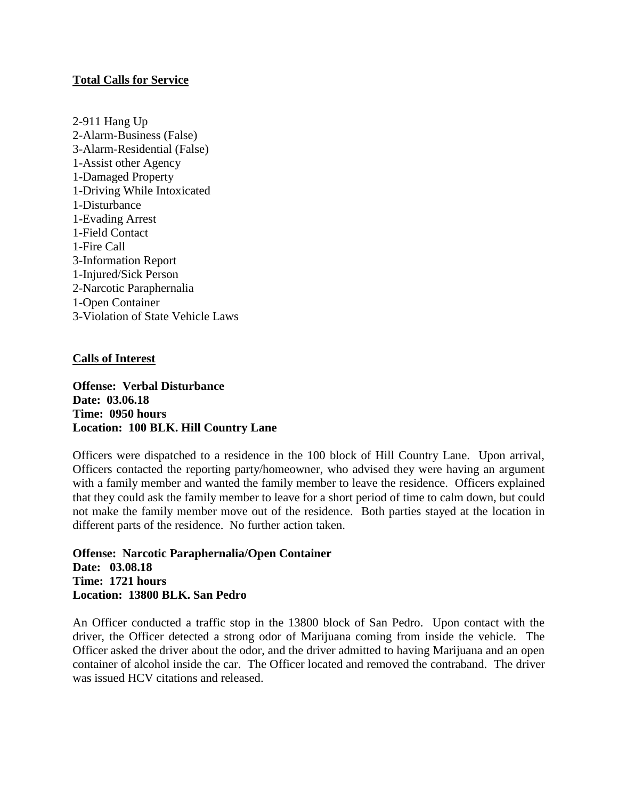## **Total Calls for Service**

2-911 Hang Up 2-Alarm-Business (False) 3-Alarm-Residential (False) 1-Assist other Agency 1-Damaged Property 1-Driving While Intoxicated 1-Disturbance 1-Evading Arrest 1-Field Contact 1-Fire Call 3-Information Report 1-Injured/Sick Person 2-Narcotic Paraphernalia 1-Open Container 3-Violation of State Vehicle Laws

## **Calls of Interest**

**Offense: Verbal Disturbance Date: 03.06.18 Time: 0950 hours Location: 100 BLK. Hill Country Lane**

Officers were dispatched to a residence in the 100 block of Hill Country Lane. Upon arrival, Officers contacted the reporting party/homeowner, who advised they were having an argument with a family member and wanted the family member to leave the residence. Officers explained that they could ask the family member to leave for a short period of time to calm down, but could not make the family member move out of the residence. Both parties stayed at the location in different parts of the residence. No further action taken.

**Offense: Narcotic Paraphernalia/Open Container Date: 03.08.18 Time: 1721 hours Location: 13800 BLK. San Pedro**

An Officer conducted a traffic stop in the 13800 block of San Pedro. Upon contact with the driver, the Officer detected a strong odor of Marijuana coming from inside the vehicle. The Officer asked the driver about the odor, and the driver admitted to having Marijuana and an open container of alcohol inside the car. The Officer located and removed the contraband. The driver was issued HCV citations and released.